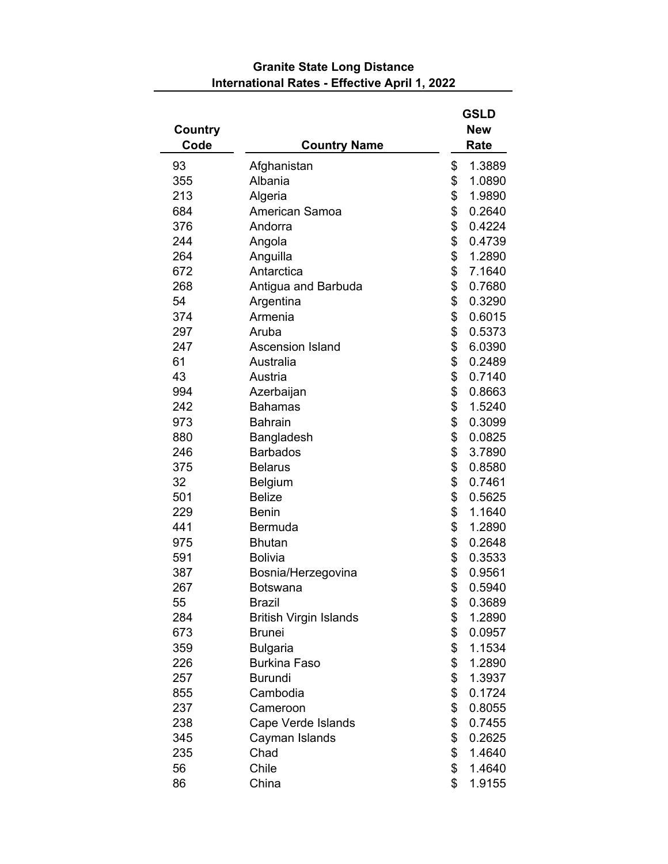| Country |                               | <b>GSLD</b><br><b>New</b> |  |
|---------|-------------------------------|---------------------------|--|
| Code    | <b>Country Name</b>           | Rate                      |  |
| 93      | Afghanistan                   | \$<br>1.3889              |  |
| 355     | Albania                       | \$<br>1.0890              |  |
| 213     | Algeria                       | \$<br>1.9890              |  |
| 684     | American Samoa                | \$<br>0.2640              |  |
| 376     | Andorra                       | \$<br>0.4224              |  |
| 244     | Angola                        | \$<br>0.4739              |  |
| 264     | Anguilla                      | \$<br>1.2890              |  |
| 672     | Antarctica                    | \$<br>7.1640              |  |
| 268     | Antigua and Barbuda           | \$<br>0.7680              |  |
| 54      | Argentina                     | \$<br>0.3290              |  |
| 374     | Armenia                       | \$<br>0.6015              |  |
| 297     | Aruba                         | \$<br>0.5373              |  |
| 247     | <b>Ascension Island</b>       | \$<br>6.0390              |  |
| 61      | Australia                     | \$<br>0.2489              |  |
| 43      | Austria                       | \$<br>0.7140              |  |
| 994     | Azerbaijan                    | \$<br>0.8663              |  |
| 242     | <b>Bahamas</b>                | \$<br>1.5240              |  |
| 973     | <b>Bahrain</b>                | \$<br>0.3099              |  |
| 880     | Bangladesh                    | \$<br>0.0825              |  |
| 246     | <b>Barbados</b>               | \$<br>3.7890              |  |
| 375     | <b>Belarus</b>                | \$<br>0.8580              |  |
| 32      | Belgium                       | \$<br>0.7461              |  |
| 501     | <b>Belize</b>                 | \$<br>0.5625              |  |
| 229     | <b>Benin</b>                  | \$<br>1.1640              |  |
| 441     | Bermuda                       | \$<br>1.2890              |  |
| 975     | <b>Bhutan</b>                 | \$<br>0.2648              |  |
| 591     | <b>Bolivia</b>                | \$<br>0.3533              |  |
| 387     | Bosnia/Herzegovina            | \$<br>0.9561              |  |
| 267     | <b>Botswana</b>               | \$<br>0.5940              |  |
| 55      | <b>Brazil</b>                 | \$<br>0.3689              |  |
| 284     | <b>British Virgin Islands</b> | \$<br>1.2890              |  |
| 673     | <b>Brunei</b>                 | \$<br>0.0957              |  |
| 359     | <b>Bulgaria</b>               | \$<br>1.1534              |  |
| 226     | <b>Burkina Faso</b>           | \$<br>1.2890              |  |
| 257     | <b>Burundi</b>                | \$<br>1.3937              |  |
| 855     | Cambodia                      | \$<br>0.1724              |  |
| 237     | Cameroon                      | \$<br>0.8055              |  |
| 238     | Cape Verde Islands            | \$<br>0.7455              |  |
| 345     | Cayman Islands                | \$<br>0.2625              |  |
| 235     | Chad                          | \$<br>1.4640              |  |
| 56      | Chile                         | \$<br>1.4640              |  |
| 86      | China                         | \$<br>1.9155              |  |

## **Granite State Long Distance International Rates - Effective April 1, 2022**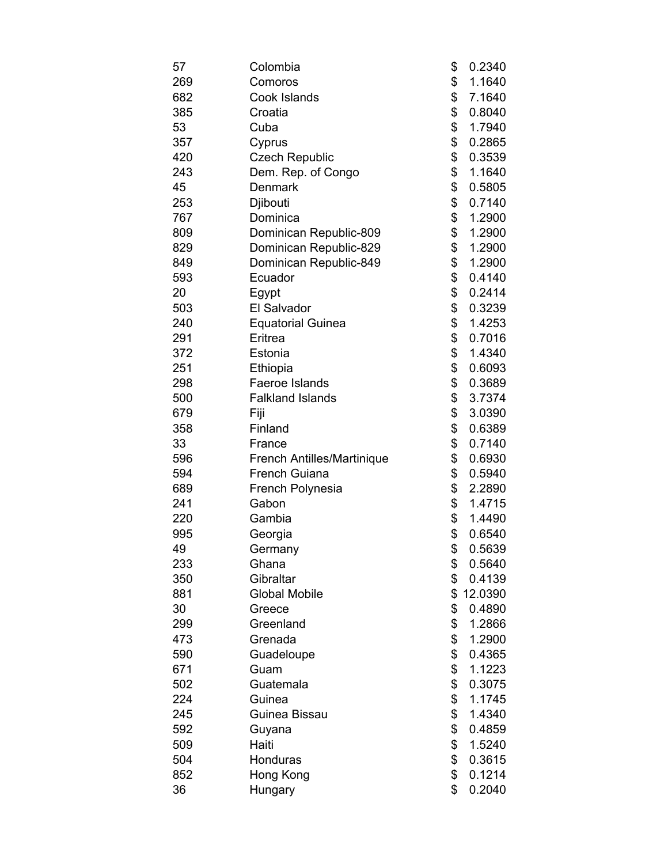| 57  | Colombia                   | \$<br>0.2340  |
|-----|----------------------------|---------------|
| 269 | Comoros                    | \$<br>1.1640  |
| 682 | Cook Islands               | \$<br>7.1640  |
| 385 | Croatia                    | \$<br>0.8040  |
| 53  | Cuba                       | \$<br>1.7940  |
| 357 | Cyprus                     | \$<br>0.2865  |
| 420 | <b>Czech Republic</b>      | \$<br>0.3539  |
| 243 | Dem. Rep. of Congo         | \$<br>1.1640  |
| 45  | <b>Denmark</b>             | \$<br>0.5805  |
| 253 | Djibouti                   | \$<br>0.7140  |
| 767 | Dominica                   | \$<br>1.2900  |
| 809 | Dominican Republic-809     | \$<br>1.2900  |
| 829 | Dominican Republic-829     | \$<br>1.2900  |
| 849 | Dominican Republic-849     | \$<br>1.2900  |
| 593 | Ecuador                    | \$<br>0.4140  |
| 20  | Egypt                      | \$<br>0.2414  |
| 503 | El Salvador                | \$<br>0.3239  |
| 240 | <b>Equatorial Guinea</b>   | \$<br>1.4253  |
| 291 | Eritrea                    | \$<br>0.7016  |
| 372 | Estonia                    | \$<br>1.4340  |
| 251 | Ethiopia                   | \$<br>0.6093  |
| 298 | Faeroe Islands             | \$<br>0.3689  |
| 500 | <b>Falkland Islands</b>    | \$<br>3.7374  |
| 679 | Fiji                       | \$<br>3.0390  |
| 358 | Finland                    | \$<br>0.6389  |
| 33  | France                     | \$<br>0.7140  |
| 596 | French Antilles/Martinique | \$<br>0.6930  |
| 594 | <b>French Guiana</b>       | \$<br>0.5940  |
| 689 | French Polynesia           | \$<br>2.2890  |
| 241 | Gabon                      | \$<br>1.4715  |
| 220 | Gambia                     | \$<br>1.4490  |
| 995 | Georgia                    | \$<br>0.6540  |
| 49  | Germany                    | \$<br>0.5639  |
| 233 | Ghana                      | \$<br>0.5640  |
| 350 | Gibraltar                  | \$<br>0.4139  |
| 881 | <b>Global Mobile</b>       | \$<br>12.0390 |
| 30  | Greece                     | \$<br>0.4890  |
| 299 | Greenland                  | \$<br>1.2866  |
| 473 | Grenada                    | \$<br>1.2900  |
| 590 | Guadeloupe                 | \$<br>0.4365  |
| 671 | Guam                       | \$<br>1.1223  |
| 502 | Guatemala                  | \$<br>0.3075  |
| 224 | Guinea                     | \$<br>1.1745  |
| 245 | Guinea Bissau              | \$<br>1.4340  |
| 592 | Guyana                     | \$<br>0.4859  |
| 509 | Haiti                      | \$<br>1.5240  |
| 504 | Honduras                   | \$<br>0.3615  |
| 852 | Hong Kong                  | \$<br>0.1214  |
| 36  | Hungary                    | \$<br>0.2040  |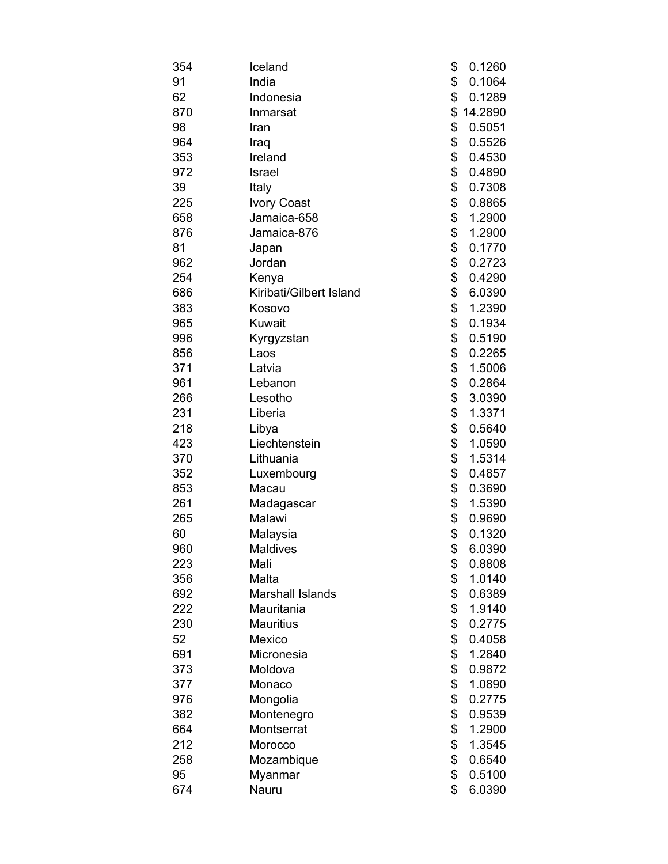| 354 | Iceland                 | \$<br>0.1260  |
|-----|-------------------------|---------------|
| 91  | India                   | \$<br>0.1064  |
| 62  | Indonesia               | \$<br>0.1289  |
| 870 | Inmarsat                | \$<br>14.2890 |
| 98  | Iran                    | \$<br>0.5051  |
| 964 | Iraq                    | \$<br>0.5526  |
| 353 | Ireland                 | \$<br>0.4530  |
| 972 | Israel                  | \$<br>0.4890  |
| 39  | Italy                   | \$<br>0.7308  |
| 225 | <b>Ivory Coast</b>      | \$<br>0.8865  |
| 658 | Jamaica-658             | \$<br>1.2900  |
| 876 | Jamaica-876             | \$<br>1.2900  |
| 81  | Japan                   | \$<br>0.1770  |
| 962 | Jordan                  | \$<br>0.2723  |
| 254 | Kenya                   | \$<br>0.4290  |
| 686 | Kiribati/Gilbert Island | \$<br>6.0390  |
| 383 | Kosovo                  | \$<br>1.2390  |
| 965 | Kuwait                  | \$<br>0.1934  |
| 996 | Kyrgyzstan              | \$<br>0.5190  |
| 856 | Laos                    | \$<br>0.2265  |
| 371 | Latvia                  | \$<br>1.5006  |
| 961 | Lebanon                 | \$<br>0.2864  |
| 266 | Lesotho                 | \$<br>3.0390  |
| 231 | Liberia                 | \$<br>1.3371  |
| 218 | Libya                   | \$<br>0.5640  |
| 423 | Liechtenstein           | \$<br>1.0590  |
| 370 | Lithuania               | \$<br>1.5314  |
| 352 | Luxembourg              | \$<br>0.4857  |
| 853 | Macau                   | \$<br>0.3690  |
| 261 | Madagascar              | \$<br>1.5390  |
| 265 | Malawi                  | \$<br>0.9690  |
| 60  | Malaysia                | \$<br>0.1320  |
| 960 | <b>Maldives</b>         | \$<br>6.0390  |
| 223 | Mali                    | \$<br>0.8808  |
| 356 | Malta                   | \$<br>1.0140  |
| 692 | <b>Marshall Islands</b> | \$<br>0.6389  |
| 222 | Mauritania              | \$<br>1.9140  |
| 230 | <b>Mauritius</b>        | \$<br>0.2775  |
| 52  | Mexico                  | \$<br>0.4058  |
| 691 | Micronesia              | \$<br>1.2840  |
| 373 | Moldova                 | \$<br>0.9872  |
| 377 | Monaco                  | \$<br>1.0890  |
| 976 | Mongolia                | \$<br>0.2775  |
| 382 | Montenegro              | \$<br>0.9539  |
| 664 | Montserrat              | \$<br>1.2900  |
| 212 | Morocco                 | \$<br>1.3545  |
| 258 | Mozambique              | \$<br>0.6540  |
| 95  | Myanmar                 | \$<br>0.5100  |
| 674 | Nauru                   | \$<br>6.0390  |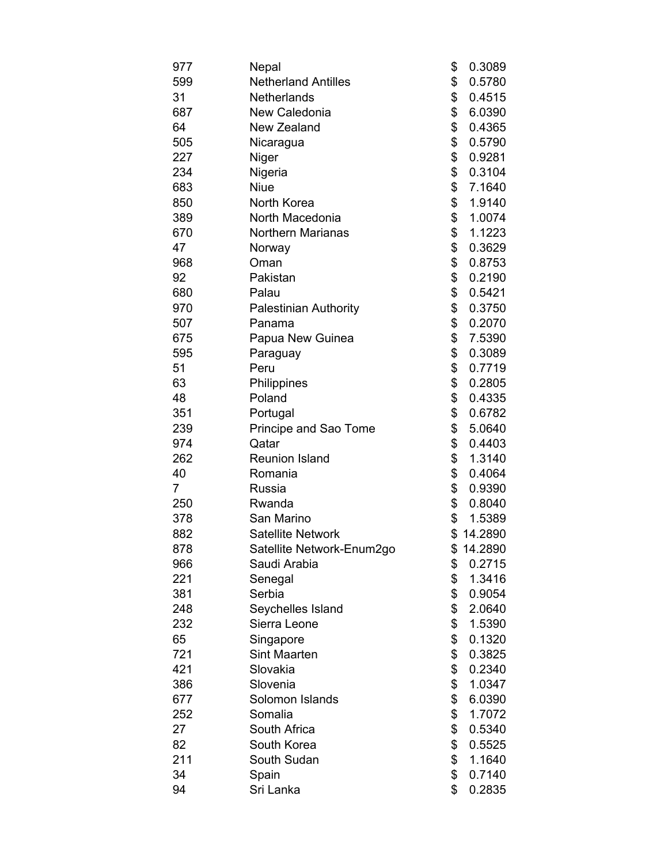| 977            | Nepal                        | \$<br>0.3089  |
|----------------|------------------------------|---------------|
| 599            | <b>Netherland Antilles</b>   | \$<br>0.5780  |
| 31             | <b>Netherlands</b>           | \$<br>0.4515  |
| 687            | New Caledonia                | \$<br>6.0390  |
| 64             | <b>New Zealand</b>           | \$<br>0.4365  |
| 505            | Nicaragua                    | \$<br>0.5790  |
| 227            | Niger                        | \$<br>0.9281  |
| 234            | Nigeria                      | \$<br>0.3104  |
| 683            | <b>Niue</b>                  | \$<br>7.1640  |
| 850            | North Korea                  | \$<br>1.9140  |
| 389            | North Macedonia              | \$<br>1.0074  |
| 670            | <b>Northern Marianas</b>     | \$<br>1.1223  |
| 47             | Norway                       | \$<br>0.3629  |
| 968            | Oman                         | \$<br>0.8753  |
| 92             | Pakistan                     | \$<br>0.2190  |
| 680            | Palau                        | \$<br>0.5421  |
| 970            | <b>Palestinian Authority</b> | \$<br>0.3750  |
| 507            | Panama                       | \$<br>0.2070  |
| 675            | Papua New Guinea             | \$<br>7.5390  |
| 595            | Paraguay                     | \$<br>0.3089  |
| 51             | Peru                         | \$<br>0.7719  |
| 63             | Philippines                  | \$<br>0.2805  |
| 48             | Poland                       | \$<br>0.4335  |
| 351            | Portugal                     | \$<br>0.6782  |
| 239            | Principe and Sao Tome        | \$<br>5.0640  |
| 974            | Qatar                        | \$<br>0.4403  |
| 262            | <b>Reunion Island</b>        | \$<br>1.3140  |
| 40             | Romania                      | \$<br>0.4064  |
| $\overline{7}$ | <b>Russia</b>                | \$<br>0.9390  |
| 250            | Rwanda                       | \$<br>0.8040  |
| 378            | San Marino                   | \$<br>1.5389  |
| 882            | <b>Satellite Network</b>     | \$14.2890     |
| 878            | Satellite Network-Enum2go    | \$<br>14.2890 |
| 966            | Saudi Arabia                 | \$<br>0.2715  |
| 221            | Senegal                      | \$<br>1.3416  |
| 381            | Serbia                       | \$<br>0.9054  |
| 248            | Seychelles Island            | \$<br>2.0640  |
| 232            | Sierra Leone                 | \$<br>1.5390  |
| 65             | Singapore                    | \$<br>0.1320  |
| 721            | <b>Sint Maarten</b>          | \$<br>0.3825  |
| 421            | Slovakia                     | \$<br>0.2340  |
| 386            | Slovenia                     | \$<br>1.0347  |
| 677            | Solomon Islands              | \$<br>6.0390  |
| 252            | Somalia                      | \$<br>1.7072  |
| 27             | South Africa                 | \$<br>0.5340  |
| 82             | South Korea                  | \$<br>0.5525  |
| 211            | South Sudan                  | \$<br>1.1640  |
| 34             | Spain                        | \$<br>0.7140  |
| 94             | Sri Lanka                    | \$<br>0.2835  |